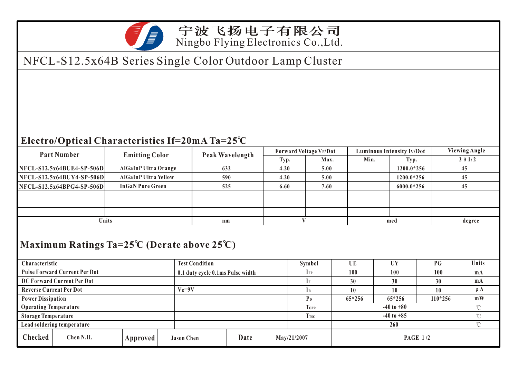

### 宁波飞扬电子有限公司 Ningbo Flying Electronics Co.,Ltd.

# NFCL-S12.5x64B Series Single Color Outdoor Lamp Cluster

#### **Electro/Optical Characteristics If=20mA Ta=25 C**

| <b>Part Number</b>          | <b>Emitting Color</b>       | Peak Wavelength | <b>Forward Voltage VF/Dot</b> |      | Luminous Intensity Iv/Dot |              | <b>Viewing Angle</b> |  |
|-----------------------------|-----------------------------|-----------------|-------------------------------|------|---------------------------|--------------|----------------------|--|
|                             |                             |                 | Typ.                          | Max. | Min.                      | Typ.         | $2 \theta 1/2$       |  |
| $NFCL-S12.5x64BUE4-SP-506D$ | AlGaInP Ultra Orange        | 632             | 4.20                          | 5.00 |                           | $1200.0*256$ | 45                   |  |
| $NFCL-S12.5x64BUY4-SP-506D$ | <b>AlGaInP Ultra Yellow</b> | 590             | 4.20                          | 5.00 |                           | 1200.0*256   | 45                   |  |
| $NFCL-S12.5x64BPG4-SP-506D$ | <b>InGaN Pure Green</b>     | 525             | 6.60                          | 7.60 |                           | 6000.0*256   | 45                   |  |
|                             |                             |                 |                               |      |                           |              |                      |  |
|                             |                             |                 |                               |      |                           |              |                      |  |
|                             |                             |                 |                               |      |                           |              |                      |  |
| <b>Units</b>                |                             | $n_{m}$         |                               |      | mcd                       |              | degree               |  |
|                             |                             |                 |                               |      |                           |              |                      |  |

#### **Maximum Ratings Ta=25 C (Derate above 25 C)**

|                                      | Characteristic |            | <b>Test Condition</b>            |      |              | Symbol         | UE              | <b>UY</b> | P G     | Units  |
|--------------------------------------|----------------|------------|----------------------------------|------|--------------|----------------|-----------------|-----------|---------|--------|
| <b>Pulse Forward Current Per Dot</b> |                |            | 0.1 duty cycle 0.1ms Pulse width |      | $_{\rm IFP}$ | 100            | 100             | 100       | mA      |        |
| DC Forward Current Per Dot           |                |            |                                  |      |              | 30             | 30              | 30        | mA      |        |
| <b>Reverse Current Per Dot</b>       |                | $V_R = 9V$ |                                  |      |              | 10             | 10              | 10        | $\mu$ A |        |
| <b>Power Dissipation</b>             |                |            |                                  |      |              | P <sub>D</sub> | $65*256$        | 65*256    | 110*256 | mW     |
| <b>Operating Temperature</b>         |                |            |                                  |      |              | <b>TOPR</b>    | $-40$ to $+80$  |           |         | $\sim$ |
| <b>Storage Temperature</b>           |                |            |                                  |      | <b>TrsG</b>  | $-40$ to $+85$ |                 |           | $\sim$  |        |
| Lead soldering temperature           |                |            |                                  |      |              |                | $\sim$          |           |         |        |
| Checked                              | Chen N.H.      | Approved   | <b>Jason Chen</b>                | Date |              | May/21/2007    | <b>PAGE 1/2</b> |           |         |        |